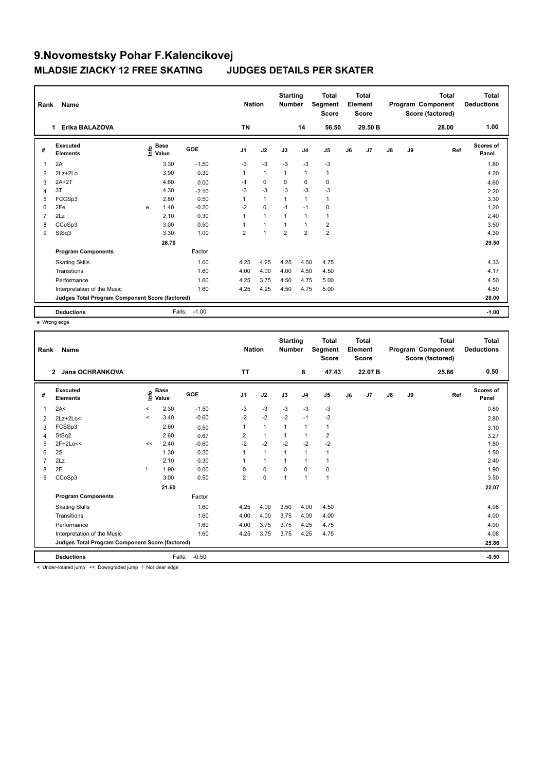| Rank           | Name                                            | <b>Nation</b> |                      | <b>Starting</b><br><b>Number</b> |                | <b>Total</b><br>Segment<br><b>Score</b> |                | <b>Total</b><br>Element<br><b>Score</b> |                |    | <b>Total</b><br>Program Component<br>Score (factored) | <b>Total</b><br><b>Deductions</b> |    |       |                    |
|----------------|-------------------------------------------------|---------------|----------------------|----------------------------------|----------------|-----------------------------------------|----------------|-----------------------------------------|----------------|----|-------------------------------------------------------|-----------------------------------|----|-------|--------------------|
|                | Erika BALAZOVA<br>1.                            |               |                      |                                  | <b>TN</b>      |                                         |                | 14                                      | 56.50          |    | 29.50 B                                               |                                   |    | 28.00 | 1.00               |
| #              | Executed<br><b>Elements</b>                     | info          | <b>Base</b><br>Value | <b>GOE</b>                       | J <sub>1</sub> | J2                                      | J3             | J <sub>4</sub>                          | J <sub>5</sub> | J6 | J <sub>7</sub>                                        | $\mathsf{J}8$                     | J9 | Ref   | Scores of<br>Panel |
| 1              | 2A                                              |               | 3.30                 | $-1.50$                          | $-3$           | $-3$                                    | $-3$           | $-3$                                    | $-3$           |    |                                                       |                                   |    |       | 1.80               |
| 2              | 2Lz+2Lo                                         |               | 3.90                 | 0.30                             | $\mathbf{1}$   | $\overline{1}$                          | $\overline{1}$ | $\mathbf{1}$                            | $\mathbf{1}$   |    |                                                       |                                   |    |       | 4.20               |
| 3              | $2A+2T$                                         |               | 4.60                 | 0.00                             | $-1$           | $\mathbf 0$                             | 0              | $\mathbf 0$                             | $\mathbf 0$    |    |                                                       |                                   |    |       | 4.60               |
| 4              | 3T                                              |               | 4.30                 | $-2.10$                          | $-3$           | $-3$                                    | $-3$           | $-3$                                    | $-3$           |    |                                                       |                                   |    |       | 2.20               |
| 5              | FCCSp3                                          |               | 2.80                 | 0.50                             | 1              | $\mathbf{1}$                            | $\mathbf{1}$   | $\overline{1}$                          | $\mathbf{1}$   |    |                                                       |                                   |    |       | 3.30               |
| 6              | 2Fe                                             | e             | 1.40                 | $-0.20$                          | $-2$           | $\mathbf 0$                             | $-1$           | $-1$                                    | 0              |    |                                                       |                                   |    |       | 1.20               |
| $\overline{7}$ | 2Lz                                             |               | 2.10                 | 0.30                             | 1              | $\overline{1}$                          | $\mathbf{1}$   | $\overline{1}$                          | $\mathbf{1}$   |    |                                                       |                                   |    |       | 2.40               |
| 8              | CCoSp3                                          |               | 3.00                 | 0.50                             |                | $\overline{1}$                          | $\mathbf{1}$   | $\mathbf{1}$                            | $\overline{2}$ |    |                                                       |                                   |    |       | 3.50               |
| 9              | StSq3                                           |               | 3.30                 | 1.00                             | $\overline{2}$ | $\overline{1}$                          | $\overline{2}$ | $\overline{2}$                          | $\overline{2}$ |    |                                                       |                                   |    |       | 4.30               |
|                |                                                 |               | 28.70                |                                  |                |                                         |                |                                         |                |    |                                                       |                                   |    |       | 29.50              |
|                | <b>Program Components</b>                       |               |                      | Factor                           |                |                                         |                |                                         |                |    |                                                       |                                   |    |       |                    |
|                | <b>Skating Skills</b>                           |               |                      | 1.60                             | 4.25           | 4.25                                    | 4.25           | 4.50                                    | 4.75           |    |                                                       |                                   |    |       | 4.33               |
|                | Transitions                                     |               |                      | 1.60                             | 4.00           | 4.00                                    | 4.00           | 4.50                                    | 4.50           |    |                                                       |                                   |    |       | 4.17               |
|                | Performance                                     |               |                      | 1.60                             | 4.25           | 3.75                                    | 4.50           | 4.75                                    | 5.00           |    |                                                       |                                   |    |       | 4.50               |
|                | Interpretation of the Music                     |               |                      | 1.60                             | 4.25           | 4.25                                    | 4.50           | 4.75                                    | 5.00           |    |                                                       |                                   |    |       | 4.50               |
|                | Judges Total Program Component Score (factored) |               |                      |                                  |                |                                         |                |                                         |                |    |                                                       |                                   |    |       | 28.00              |
|                | <b>Deductions</b>                               |               | Falls:               | $-1.00$                          |                |                                         |                |                                         |                |    |                                                       |                                   |    |       | $-1.00$            |

e Wrong edge

| Rank | Name<br>Jana OCHRANKOVA<br>$\overline{2}$       |         |                      |            | <b>Nation</b>  |              | <b>Starting</b><br><b>Number</b> |                | <b>Total</b><br>Segment<br><b>Score</b> |    | <b>Total</b><br>Element<br>Score |               |    | <b>Total</b><br>Program Component<br>Score (factored) | <b>Total</b><br><b>Deductions</b> |
|------|-------------------------------------------------|---------|----------------------|------------|----------------|--------------|----------------------------------|----------------|-----------------------------------------|----|----------------------------------|---------------|----|-------------------------------------------------------|-----------------------------------|
|      |                                                 |         |                      |            | <b>TT</b>      |              |                                  | 8              | 47.43                                   |    | 22.07 B                          |               |    | 25.86                                                 | 0.50                              |
| #    | Executed<br><b>Elements</b>                     | ۴       | <b>Base</b><br>Value | <b>GOE</b> | J <sub>1</sub> | J2           | J3                               | J <sub>4</sub> | J5                                      | J6 | J7                               | $\mathsf{J}8$ | J9 | Ref                                                   | <b>Scores of</b><br>Panel         |
| 1    | 2A<                                             | $\,<\,$ | 2.30                 | $-1.50$    | -3             | $-3$         | $-3$                             | $-3$           | $-3$                                    |    |                                  |               |    |                                                       | 0.80                              |
| 2    | $2Lz+2Lo<$                                      | $\prec$ | 3.40                 | $-0.60$    | $-2$           | $-2$         | $-2$                             | $-1$           | $-2$                                    |    |                                  |               |    |                                                       | 2.80                              |
| 3    | FCSSp3                                          |         | 2.60                 | 0.50       | 1              | $\mathbf{1}$ | 1                                | $\mathbf{1}$   | $\mathbf{1}$                            |    |                                  |               |    |                                                       | 3.10                              |
| 4    | StSq2                                           |         | 2.60                 | 0.67       | 2              | $\mathbf{1}$ |                                  | $\mathbf{1}$   | $\overline{2}$                          |    |                                  |               |    |                                                       | 3.27                              |
| 5    | $2F+2Lo<<$                                      | <<      | 2.40                 | $-0.60$    | $-2$           | $-2$         | $-2$                             | $-2$           | $-2$                                    |    |                                  |               |    |                                                       | 1.80                              |
| 6    | 2S                                              |         | 1.30                 | 0.20       |                | $\mathbf{1}$ |                                  | $\mathbf{1}$   | $\mathbf{1}$                            |    |                                  |               |    |                                                       | 1.50                              |
|      | 2Lz                                             |         | 2.10                 | 0.30       |                | $\mathbf{1}$ | $\overline{1}$                   | $\mathbf 1$    | $\mathbf 1$                             |    |                                  |               |    |                                                       | 2.40                              |
| 8    | 2F                                              |         | 1.90                 | 0.00       | 0              | $\pmb{0}$    | $\mathbf 0$                      | $\mathbf 0$    | $\mathbf 0$                             |    |                                  |               |    |                                                       | 1.90                              |
| 9    | CCoSp3                                          |         | 3.00                 | 0.50       | $\overline{2}$ | $\mathbf 0$  | 1                                | $\mathbf{1}$   | $\mathbf{1}$                            |    |                                  |               |    |                                                       | 3.50                              |
|      |                                                 |         | 21.60                |            |                |              |                                  |                |                                         |    |                                  |               |    |                                                       | 22.07                             |
|      | <b>Program Components</b>                       |         |                      | Factor     |                |              |                                  |                |                                         |    |                                  |               |    |                                                       |                                   |
|      | <b>Skating Skills</b>                           |         |                      | 1.60       | 4.25           | 4.00         | 3.50                             | 4.00           | 4.50                                    |    |                                  |               |    |                                                       | 4.08                              |
|      | Transitions                                     |         |                      | 1.60       | 4.00           | 4.00         | 3.75                             | 4.00           | 4.00                                    |    |                                  |               |    |                                                       | 4.00                              |
|      | Performance                                     |         |                      | 1.60       | 4.00           | 3.75         | 3.75                             | 4.25           | 4.75                                    |    |                                  |               |    |                                                       | 4.00                              |
|      | Interpretation of the Music                     |         |                      | 1.60       | 4.25           | 3.75         | 3.75                             | 4.25           | 4.75                                    |    |                                  |               |    |                                                       | 4.08                              |
|      | Judges Total Program Component Score (factored) |         |                      |            |                |              |                                  |                |                                         |    |                                  |               |    |                                                       | 25.86                             |
|      | <b>Deductions</b>                               |         | Falls:               | $-0.50$    |                |              |                                  |                |                                         |    |                                  |               |    |                                                       | $-0.50$                           |

< Under-rotated jump << Downgraded jump ! Not clear edge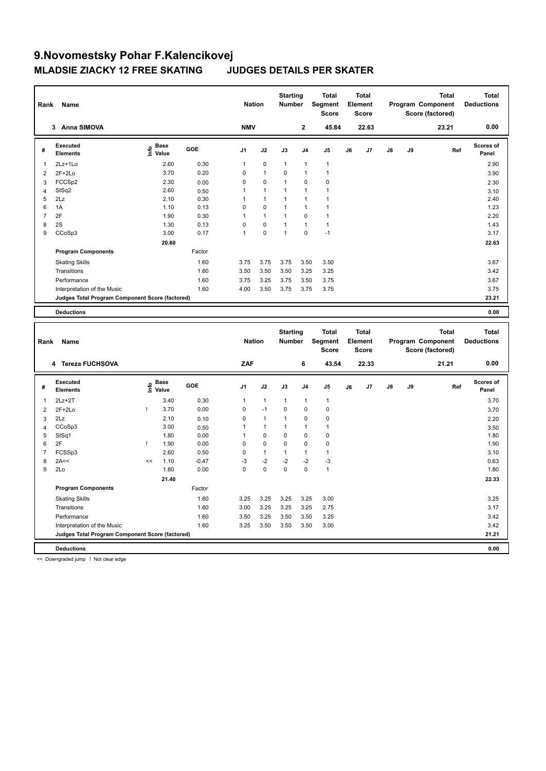| Rank           | Name                                            |                                           |       |         | <b>Nation</b>  |              | <b>Starting</b><br><b>Number</b> |                | Total<br>Segment<br><b>Score</b> |    | <b>Total</b><br>Element<br><b>Score</b> |    |    | <b>Total</b><br>Program Component<br>Score (factored) | <b>Total</b><br><b>Deductions</b> |
|----------------|-------------------------------------------------|-------------------------------------------|-------|---------|----------------|--------------|----------------------------------|----------------|----------------------------------|----|-----------------------------------------|----|----|-------------------------------------------------------|-----------------------------------|
|                | 3 Anna SIMOVA                                   |                                           |       |         | <b>NMV</b>     |              |                                  | $\mathbf 2$    | 45.84                            |    | 22.63                                   |    |    | 23.21                                                 | 0.00                              |
| #              | <b>Executed</b><br><b>Elements</b>              | $\frac{e}{E}$ Base<br>$\frac{e}{E}$ Value |       | GOE     | J <sub>1</sub> | J2           | J3                               | J4             | J <sub>5</sub>                   | J6 | J7                                      | J8 | J9 | Ref                                                   | Scores of<br>Panel                |
| 1              | 2Lz+1Lo                                         |                                           | 2.60  | 0.30    | $\mathbf{1}$   | 0            | $\mathbf{1}$                     | 1              | $\overline{1}$                   |    |                                         |    |    |                                                       | 2.90                              |
| $\overline{2}$ | $2F+2Lo$                                        |                                           | 3.70  | 0.20    | $\mathbf 0$    | $\mathbf{1}$ | 0                                | 1              | $\overline{1}$                   |    |                                         |    |    |                                                       | 3.90                              |
| 3              | FCCS <sub>p2</sub>                              |                                           | 2.30  | 0.00    | $\mathbf 0$    | $\Omega$     | $\mathbf{1}$                     | $\Omega$       | $\mathbf 0$                      |    |                                         |    |    |                                                       | 2.30                              |
| $\overline{4}$ | StSq2                                           |                                           | 2.60  | 0.50    | $\mathbf{1}$   | $\mathbf{1}$ | $\mathbf{1}$                     | 1              | $\overline{1}$                   |    |                                         |    |    |                                                       | 3.10                              |
| 5              | 2Lz                                             |                                           | 2.10  | 0.30    | $\mathbf{1}$   | $\mathbf{1}$ | $\mathbf{1}$                     | $\mathbf{1}$   | $\mathbf{1}$                     |    |                                         |    |    |                                                       | 2.40                              |
| 6              | 1A                                              |                                           | 1.10  | 0.13    | $\mathbf 0$    | 0            | $\mathbf{1}$                     | $\overline{1}$ | $\overline{1}$                   |    |                                         |    |    |                                                       | 1.23                              |
| $\overline{7}$ | 2F                                              |                                           | 1.90  | 0.30    | $\mathbf{1}$   | $\mathbf{1}$ | $\mathbf{1}$                     | 0              | $\overline{1}$                   |    |                                         |    |    |                                                       | 2.20                              |
| 8              | 2S                                              |                                           | 1.30  | 0.13    | $\Omega$       | 0            | $\mathbf{1}$                     | 1              | $\overline{1}$                   |    |                                         |    |    |                                                       | 1.43                              |
| 9              | CCoSp3                                          |                                           | 3.00  | 0.17    | $\mathbf{1}$   | 0            | $\mathbf{1}$                     | 0              | $-1$                             |    |                                         |    |    |                                                       | 3.17                              |
|                |                                                 |                                           | 20.60 |         |                |              |                                  |                |                                  |    |                                         |    |    |                                                       | 22.63                             |
|                | <b>Program Components</b>                       |                                           |       | Factor  |                |              |                                  |                |                                  |    |                                         |    |    |                                                       |                                   |
|                | <b>Skating Skills</b>                           |                                           |       | 1.60    | 3.75           | 3.75         | 3.75                             | 3.50           | 3.50                             |    |                                         |    |    |                                                       | 3.67                              |
|                | Transitions                                     |                                           |       | 1.60    | 3.50           | 3.50         | 3.50                             | 3.25           | 3.25                             |    |                                         |    |    |                                                       | 3.42                              |
|                | Performance                                     |                                           |       | 1.60    | 3.75           | 3.25         | 3.75                             | 3.50           | 3.75                             |    |                                         |    |    |                                                       | 3.67                              |
|                | Interpretation of the Music                     |                                           |       | 1.60    | 4.00           | 3.50         | 3.75                             | 3.75           | 3.75                             |    |                                         |    |    |                                                       | 3.75                              |
|                | Judges Total Program Component Score (factored) |                                           |       |         |                |              |                                  |                |                                  |    |                                         |    |    |                                                       | 23.21                             |
|                |                                                 |                                           |       |         |                |              |                                  |                |                                  |    |                                         |    |    |                                                       |                                   |
|                | <b>Deductions</b>                               |                                           |       |         |                |              |                                  |                |                                  |    |                                         |    |    |                                                       | 0.00                              |
| Rank           | Name                                            |                                           |       |         | <b>Nation</b>  |              | <b>Starting</b><br><b>Number</b> |                | <b>Total</b><br>Segment          |    | <b>Total</b><br>Element                 |    |    | <b>Total</b><br>Program Component                     | <b>Total</b><br><b>Deductions</b> |
|                |                                                 |                                           |       |         |                |              |                                  |                | <b>Score</b>                     |    | <b>Score</b>                            |    |    | Score (factored)                                      |                                   |
|                | 4 Tereza FUCHSOVA                               |                                           |       |         | ZAF            |              |                                  | 6              | 43.54                            |    | 22.33                                   |    |    | 21.21                                                 | 0.00                              |
| #              | <b>Executed</b><br><b>Elements</b>              | <b>Base</b><br>lnfo<br>Value              |       | GOE     | J <sub>1</sub> | J2           | J3                               | J <sub>4</sub> | J <sub>5</sub>                   | J6 | J7                                      | J8 | J9 | Ref                                                   | Scores of<br>Panel                |
| 1              | $2Lz+2T$                                        |                                           | 3.40  | 0.30    | $\mathbf{1}$   | $\mathbf{1}$ | $\mathbf{1}$                     | 1              | $\mathbf{1}$                     |    |                                         |    |    |                                                       | 3.70                              |
| $\overline{2}$ | $2F+2Lo$                                        | ı                                         | 3.70  | 0.00    | $\mathbf 0$    | $-1$         | 0                                | 0              | $\pmb{0}$                        |    |                                         |    |    |                                                       | 3.70                              |
| 3              | 2Lz                                             |                                           | 2.10  | 0.10    | $\mathbf 0$    | $\mathbf{1}$ | $\mathbf{1}$                     | 0              | $\pmb{0}$                        |    |                                         |    |    |                                                       | 2.20                              |
| $\overline{4}$ | CCoSp3                                          |                                           | 3.00  | 0.50    | $\mathbf{1}$   | $\mathbf{1}$ | $\mathbf{1}$                     | 1              | $\mathbf{1}$                     |    |                                         |    |    |                                                       | 3.50                              |
| 5              | StSq1                                           |                                           | 1.80  | 0.00    | $\mathbf{1}$   | 0            | 0                                | $\mathbf 0$    | $\mathbf 0$                      |    |                                         |    |    |                                                       | 1.80                              |
| 6              | 2F                                              | 1                                         | 1.90  | 0.00    | $\mathbf 0$    | $\Omega$     | $\mathbf 0$                      | 0              | $\pmb{0}$                        |    |                                         |    |    |                                                       | 1.90                              |
| $\overline{7}$ | FCSSp3                                          |                                           | 2.60  | 0.50    | $\mathbf 0$    | $\mathbf{1}$ | $\mathbf{1}$                     | $\mathbf{1}$   | $\mathbf{1}$                     |    |                                         |    |    |                                                       | 3.10                              |
| 8              | 2A<<                                            | <<                                        | 1.10  | $-0.47$ | -3             | $-2$         | $-2$                             | $-2$           | $-3$                             |    |                                         |    |    |                                                       | 0.63                              |
| 9              | 2Lo                                             |                                           | 1.80  | 0.00    | $\Omega$       | $\mathbf 0$  | 0                                | 0              | $\overline{1}$                   |    |                                         |    |    |                                                       | 1.80                              |
|                |                                                 |                                           | 21.40 |         |                |              |                                  |                |                                  |    |                                         |    |    |                                                       | 22.33                             |

Skating Skills 3.25 3.25 3.25 3.25 3.00 1.60 3.25

Transitions 1.60 3.00 3.25 3.25 3.25 2.75 3.17

Factor

Performance 2.1.60 3.50 3.25 3.50 3.25 3.50 3.25 3.42 Interpretation of the Music 1.60 3.25 3.50 3.50 3.50 3.00 **Judges Total Program Component Score (factored) 21.21**

**Program Components** 

**Deductions 0.00**

<< Downgraded jump ! Not clear edge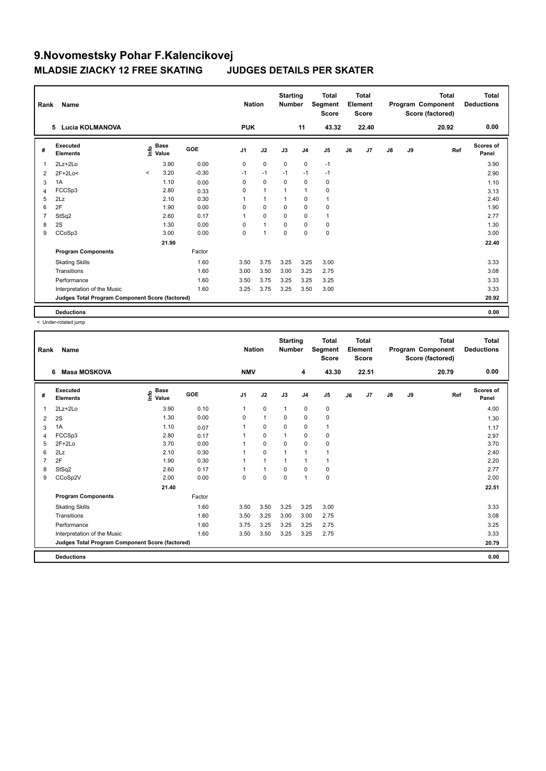| Rank           | Name                                            | <b>Nation</b> |                                           | <b>Starting</b><br><b>Number</b> |                | <b>Total</b><br>Segment<br><b>Score</b> |             | <b>Total</b><br>Element<br><b>Score</b> |                |    | <b>Total</b><br>Program Component<br>Score (factored) | <b>Total</b><br><b>Deductions</b> |    |       |                           |
|----------------|-------------------------------------------------|---------------|-------------------------------------------|----------------------------------|----------------|-----------------------------------------|-------------|-----------------------------------------|----------------|----|-------------------------------------------------------|-----------------------------------|----|-------|---------------------------|
|                | Lucia KOLMANOVA<br>5                            |               |                                           |                                  | <b>PUK</b>     |                                         |             | 11                                      | 43.32          |    | 22.40                                                 |                                   |    | 20.92 | 0.00                      |
| #              | Executed<br><b>Elements</b>                     |               | $\frac{e}{E}$ Base<br>$\frac{e}{E}$ Value | <b>GOE</b>                       | J <sub>1</sub> | J2                                      | J3          | J <sub>4</sub>                          | J <sub>5</sub> | J6 | J7                                                    | $\mathsf{J}8$                     | J9 | Ref   | <b>Scores of</b><br>Panel |
| $\mathbf{1}$   | $2Lz + 2Lo$                                     |               | 3.90                                      | 0.00                             | 0              | $\mathbf 0$                             | $\mathbf 0$ | $\pmb{0}$                               | $-1$           |    |                                                       |                                   |    |       | 3.90                      |
| 2              | 2F+2Lo<                                         | $\prec$       | 3.20                                      | $-0.30$                          | $-1$           | $-1$                                    | $-1$        | $-1$                                    | $-1$           |    |                                                       |                                   |    |       | 2.90                      |
| 3              | 1A                                              |               | 1.10                                      | 0.00                             | 0              | 0                                       | 0           | 0                                       | 0              |    |                                                       |                                   |    |       | 1.10                      |
| 4              | FCCSp3                                          |               | 2.80                                      | 0.33                             | 0              | $\overline{1}$                          | 1           | $\overline{1}$                          | 0              |    |                                                       |                                   |    |       | 3.13                      |
| 5              | 2Lz                                             |               | 2.10                                      | 0.30                             | 1              | $\mathbf{1}$                            | 1           | $\mathbf 0$                             | $\mathbf{1}$   |    |                                                       |                                   |    |       | 2.40                      |
| 6              | 2F                                              |               | 1.90                                      | 0.00                             | 0              | $\mathbf 0$                             | 0           | $\pmb{0}$                               | 0              |    |                                                       |                                   |    |       | 1.90                      |
| $\overline{7}$ | StSq2                                           |               | 2.60                                      | 0.17                             | 1              | $\mathbf 0$                             | 0           | 0                                       | $\mathbf{1}$   |    |                                                       |                                   |    |       | 2.77                      |
| 8              | 2S                                              |               | 1.30                                      | 0.00                             | 0              | $\overline{1}$                          | $\mathbf 0$ | $\pmb{0}$                               | $\pmb{0}$      |    |                                                       |                                   |    |       | 1.30                      |
| 9              | CCoSp3                                          |               | 3.00                                      | 0.00                             | 0              | 1                                       | $\mathbf 0$ | $\mathbf 0$                             | $\pmb{0}$      |    |                                                       |                                   |    |       | 3.00                      |
|                |                                                 |               | 21.90                                     |                                  |                |                                         |             |                                         |                |    |                                                       |                                   |    |       | 22.40                     |
|                | <b>Program Components</b>                       |               |                                           | Factor                           |                |                                         |             |                                         |                |    |                                                       |                                   |    |       |                           |
|                | <b>Skating Skills</b>                           |               |                                           | 1.60                             | 3.50           | 3.75                                    | 3.25        | 3.25                                    | 3.00           |    |                                                       |                                   |    |       | 3.33                      |
|                | Transitions                                     |               |                                           | 1.60                             | 3.00           | 3.50                                    | 3.00        | 3.25                                    | 2.75           |    |                                                       |                                   |    |       | 3.08                      |
|                | Performance                                     |               |                                           | 1.60                             | 3.50           | 3.75                                    | 3.25        | 3.25                                    | 3.25           |    |                                                       |                                   |    |       | 3.33                      |
|                | Interpretation of the Music                     |               |                                           | 1.60                             | 3.25           | 3.75                                    | 3.25        | 3.50                                    | 3.00           |    |                                                       |                                   |    |       | 3.33                      |
|                | Judges Total Program Component Score (factored) |               |                                           |                                  |                |                                         |             |                                         |                |    |                                                       |                                   |    |       | 20.92                     |
|                | <b>Deductions</b>                               |               |                                           |                                  |                |                                         |             |                                         |                |    |                                                       |                                   |    |       | 0.00                      |

< Under-rotated jump

| Rank | Name<br><b>Masa MOSKOVA</b><br>6                |                                  |        | <b>Nation</b>  |              | <b>Starting</b><br><b>Number</b> |                | <b>Total</b><br>Segment<br><b>Score</b> |    | <b>Total</b><br>Element<br><b>Score</b> |               |    | <b>Total</b><br>Program Component<br>Score (factored) | <b>Total</b><br><b>Deductions</b> |
|------|-------------------------------------------------|----------------------------------|--------|----------------|--------------|----------------------------------|----------------|-----------------------------------------|----|-----------------------------------------|---------------|----|-------------------------------------------------------|-----------------------------------|
|      |                                                 |                                  |        | <b>NMV</b>     |              |                                  | 4              | 43.30                                   |    | 22.51                                   |               |    | 20.79                                                 | 0.00                              |
| #    | <b>Executed</b><br><b>Elements</b>              | <b>Base</b><br>e Base<br>⊆ Value | GOE    | J <sub>1</sub> | J2           | J3                               | J <sub>4</sub> | J <sub>5</sub>                          | J6 | J7                                      | $\mathsf{J}8$ | J9 | Ref                                                   | <b>Scores of</b><br>Panel         |
| 1    | $2Lz + 2Lo$                                     | 3.90                             | 0.10   | 1              | $\mathbf 0$  | $\mathbf{1}$                     | $\mathbf 0$    | 0                                       |    |                                         |               |    |                                                       | 4.00                              |
| 2    | 2S                                              | 1.30                             | 0.00   | $\Omega$       | $\mathbf{1}$ | $\Omega$                         | $\mathbf 0$    | $\pmb{0}$                               |    |                                         |               |    |                                                       | 1.30                              |
| 3    | 1A                                              | 1.10                             | 0.07   | 1              | $\mathbf 0$  | $\Omega$                         | $\mathbf 0$    | $\mathbf{1}$                            |    |                                         |               |    |                                                       | 1.17                              |
| 4    | FCCSp3                                          | 2.80                             | 0.17   |                | $\pmb{0}$    |                                  | 0              | 0                                       |    |                                         |               |    |                                                       | 2.97                              |
| 5    | $2F+2Lo$                                        | 3.70                             | 0.00   |                | $\mathbf 0$  | $\Omega$                         | $\mathbf 0$    | $\pmb{0}$                               |    |                                         |               |    |                                                       | 3.70                              |
| 6    | 2Lz                                             | 2.10                             | 0.30   |                | $\mathbf 0$  |                                  | $\overline{1}$ | 1                                       |    |                                         |               |    |                                                       | 2.40                              |
|      | 2F                                              | 1.90                             | 0.30   |                | $\mathbf{1}$ | $\overline{1}$                   | 1              | 1                                       |    |                                         |               |    |                                                       | 2.20                              |
| 8    | StSq2                                           | 2.60                             | 0.17   |                | $\mathbf{1}$ | $\Omega$                         | $\mathbf 0$    | $\pmb{0}$                               |    |                                         |               |    |                                                       | 2.77                              |
| 9    | CCoSp2V                                         | 2.00                             | 0.00   | 0              | $\mathbf 0$  | $\mathbf 0$                      | $\mathbf{1}$   | 0                                       |    |                                         |               |    |                                                       | 2.00                              |
|      |                                                 | 21.40                            |        |                |              |                                  |                |                                         |    |                                         |               |    |                                                       | 22.51                             |
|      | <b>Program Components</b>                       |                                  | Factor |                |              |                                  |                |                                         |    |                                         |               |    |                                                       |                                   |
|      | <b>Skating Skills</b>                           |                                  | 1.60   | 3.50           | 3.50         | 3.25                             | 3.25           | 3.00                                    |    |                                         |               |    |                                                       | 3.33                              |
|      | Transitions                                     |                                  | 1.60   | 3.50           | 3.25         | 3.00                             | 3.00           | 2.75                                    |    |                                         |               |    |                                                       | 3.08                              |
|      | Performance                                     |                                  | 1.60   | 3.75           | 3.25         | 3.25                             | 3.25           | 2.75                                    |    |                                         |               |    |                                                       | 3.25                              |
|      | Interpretation of the Music                     |                                  | 1.60   | 3.50           | 3.50         | 3.25                             | 3.25           | 2.75                                    |    |                                         |               |    |                                                       | 3.33                              |
|      | Judges Total Program Component Score (factored) |                                  |        |                |              |                                  |                |                                         |    |                                         |               |    |                                                       | 20.79                             |
|      | <b>Deductions</b>                               |                                  |        |                |              |                                  |                |                                         |    |                                         |               |    |                                                       | 0.00                              |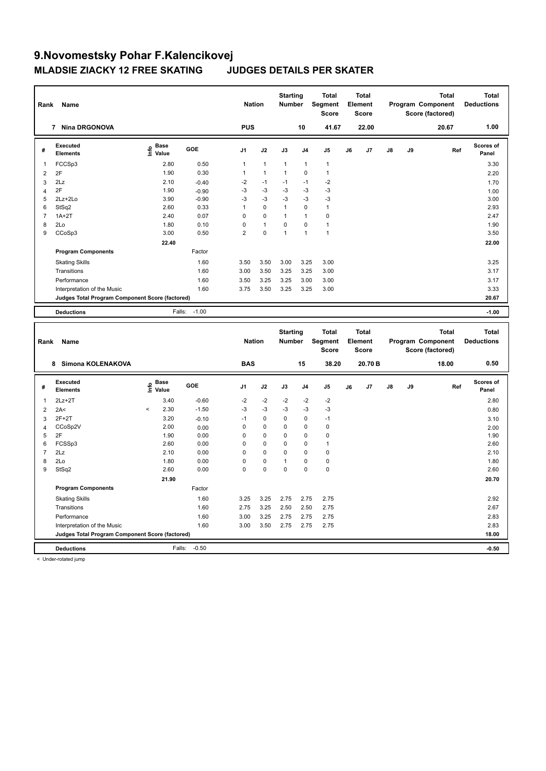| Rank           | Name                                            |                                           |         | <b>Nation</b>  |                | <b>Starting</b><br><b>Number</b> |          | <b>Total</b><br>Segment<br><b>Score</b> |    | <b>Total</b><br>Element<br>Score |    |    | <b>Total</b><br>Program Component<br>Score (factored) | <b>Total</b><br><b>Deductions</b> |
|----------------|-------------------------------------------------|-------------------------------------------|---------|----------------|----------------|----------------------------------|----------|-----------------------------------------|----|----------------------------------|----|----|-------------------------------------------------------|-----------------------------------|
|                | 7 Nina DRGONOVA                                 |                                           |         | <b>PUS</b>     |                |                                  | 10       | 41.67                                   |    | 22.00                            |    |    | 20.67                                                 | 1.00                              |
| #              | Executed<br><b>Elements</b>                     | $\frac{6}{5}$ Base<br>$\frac{1}{5}$ Value | GOE     | J1             | J2             | J3                               | J4       | J5                                      | J6 | J <sub>7</sub>                   | J8 | J9 | Ref                                                   | Scores of<br>Panel                |
| 1              | FCCSp3                                          | 2.80                                      | 0.50    | $\mathbf{1}$   | $\overline{1}$ | $\mathbf{1}$                     | 1        | $\mathbf{1}$                            |    |                                  |    |    |                                                       | 3.30                              |
| $\overline{2}$ | 2F                                              | 1.90                                      | 0.30    | $\mathbf{1}$   | $\mathbf{1}$   | $\mathbf{1}$                     | 0        | $\mathbf{1}$                            |    |                                  |    |    |                                                       | 2.20                              |
| 3              | 2Lz                                             | 2.10                                      | $-0.40$ | $-2$           | $-1$           | $-1$                             | $-1$     | $-2$                                    |    |                                  |    |    |                                                       | 1.70                              |
| $\overline{4}$ | 2F                                              | 1.90                                      | $-0.90$ | -3             | $-3$           | -3                               | $-3$     | $-3$                                    |    |                                  |    |    |                                                       | 1.00                              |
| 5              | 2Lz+2Lo                                         | 3.90                                      | $-0.90$ | -3             | $-3$           | $-3$                             | $-3$     | $-3$                                    |    |                                  |    |    |                                                       | 3.00                              |
| 6              | StSq2                                           | 2.60                                      | 0.33    | $\mathbf{1}$   | $\mathbf 0$    | $\mathbf{1}$                     | 0        | $\mathbf{1}$                            |    |                                  |    |    |                                                       | 2.93                              |
| $\overline{7}$ | $1A+2T$                                         | 2.40                                      | 0.07    | $\mathbf 0$    | 0              | $\mathbf{1}$                     | 1        | 0                                       |    |                                  |    |    |                                                       | 2.47                              |
| 8              | 2Lo                                             | 1.80                                      | 0.10    | $\mathbf 0$    | $\mathbf{1}$   | $\mathbf 0$                      | 0        | $\mathbf{1}$                            |    |                                  |    |    |                                                       | 1.90                              |
| 9              | CCoSp3                                          | 3.00                                      | 0.50    | $\overline{2}$ | $\mathbf 0$    | 1                                | 1        | $\mathbf{1}$                            |    |                                  |    |    |                                                       | 3.50                              |
|                |                                                 | 22.40                                     |         |                |                |                                  |          |                                         |    |                                  |    |    |                                                       | 22.00                             |
|                | <b>Program Components</b>                       |                                           | Factor  |                |                |                                  |          |                                         |    |                                  |    |    |                                                       |                                   |
|                | <b>Skating Skills</b>                           |                                           | 1.60    | 3.50           | 3.50           | 3.00                             | 3.25     | 3.00                                    |    |                                  |    |    |                                                       | 3.25                              |
|                | Transitions                                     |                                           | 1.60    | 3.00           | 3.50           | 3.25                             | 3.25     | 3.00                                    |    |                                  |    |    |                                                       | 3.17                              |
|                | Performance                                     |                                           | 1.60    | 3.50           | 3.25           | 3.25                             | 3.00     | 3.00                                    |    |                                  |    |    |                                                       | 3.17                              |
|                | Interpretation of the Music                     |                                           | 1.60    | 3.75           | 3.50           | 3.25                             | 3.25     | 3.00                                    |    |                                  |    |    |                                                       | 3.33                              |
|                |                                                 |                                           |         |                |                |                                  |          |                                         |    |                                  |    |    |                                                       | 20.67                             |
|                | Judges Total Program Component Score (factored) |                                           |         |                |                |                                  |          |                                         |    |                                  |    |    |                                                       |                                   |
|                | <b>Deductions</b>                               | Falls:                                    | $-1.00$ |                |                |                                  |          |                                         |    |                                  |    |    |                                                       | $-1.00$                           |
|                |                                                 |                                           |         |                |                |                                  |          |                                         |    |                                  |    |    |                                                       |                                   |
| Rank           | Name                                            |                                           |         | <b>Nation</b>  |                | <b>Starting</b><br><b>Number</b> |          | <b>Total</b><br>Segment<br><b>Score</b> |    | Total<br>Element<br><b>Score</b> |    |    | <b>Total</b><br>Program Component<br>Score (factored) | <b>Total</b><br><b>Deductions</b> |
|                | 8 Simona KOLENAKOVA                             |                                           |         | <b>BAS</b>     |                |                                  | 15       | 38.20                                   |    | 20.70 B                          |    |    | 18.00                                                 | 0.50                              |
| #              | <b>Executed</b>                                 |                                           | GOE     | J1             | J2             | J3                               | J4       | J <sub>5</sub>                          | J6 | J7                               | J8 | J9 | Ref                                                   | <b>Scores of</b>                  |
|                | <b>Elements</b>                                 | e Base<br>E Value                         |         |                |                |                                  |          |                                         |    |                                  |    |    |                                                       | Panel                             |
| 1              | $2Lz+2T$                                        | 3.40                                      | $-0.60$ | $-2$           | $-2$           | $-2$                             | $-2$     | $-2$                                    |    |                                  |    |    |                                                       | 2.80                              |
| $\overline{2}$ | 2A<                                             | 2.30<br>$\overline{a}$                    | $-1.50$ | -3             | $-3$           | -3                               | $-3$     | $-3$                                    |    |                                  |    |    |                                                       | 0.80                              |
| 3              | $2F+2T$                                         | 3.20                                      | $-0.10$ | $-1$           | $\mathbf 0$    | $\mathbf 0$                      | 0        | $-1$                                    |    |                                  |    |    |                                                       | 3.10                              |
| $\overline{4}$ | CCoSp2V                                         | 2.00                                      | 0.00    | $\mathbf 0$    | $\mathbf 0$    | $\mathbf 0$                      | 0        | $\pmb{0}$                               |    |                                  |    |    |                                                       | 2.00                              |
| 5              | 2F                                              | 1.90                                      | 0.00    | $\mathbf 0$    | 0              | 0                                | 0        | 0                                       |    |                                  |    |    |                                                       | 1.90                              |
| 6              | FCSSp3                                          | 2.60                                      | 0.00    | $\mathbf 0$    | 0              | $\Omega$                         | $\Omega$ | $\mathbf{1}$                            |    |                                  |    |    |                                                       | 2.60                              |
| $\overline{7}$ | 2Lz                                             | 2.10                                      | 0.00    | $\mathbf 0$    | 0              | 0                                | 0        | 0                                       |    |                                  |    |    |                                                       | 2.10                              |
| 8              | 2Lo                                             | 1.80                                      | 0.00    | $\mathbf 0$    | 0              | $\mathbf{1}$                     | 0        | 0                                       |    |                                  |    |    |                                                       | 1.80                              |
| 9              | StSq2                                           | 2.60                                      | 0.00    | $\Omega$       | $\mathbf 0$    | $\mathbf 0$                      | $\Omega$ | $\pmb{0}$                               |    |                                  |    |    |                                                       | 2.60                              |
|                |                                                 | 21.90                                     |         |                |                |                                  |          |                                         |    |                                  |    |    |                                                       | 20.70                             |
|                | <b>Program Components</b>                       |                                           | Factor  |                |                |                                  |          |                                         |    |                                  |    |    |                                                       |                                   |
|                | <b>Skating Skills</b>                           |                                           | 1.60    | 3.25           | 3.25           | 2.75                             | 2.75     | 2.75                                    |    |                                  |    |    |                                                       | 2.92                              |
|                | Transitions                                     |                                           | 1.60    | 2.75           | 3.25           | 2.50                             | 2.50     | 2.75                                    |    |                                  |    |    |                                                       | 2.67                              |
|                | Performance                                     |                                           | 1.60    | 3.00           | 3.25           | 2.75                             | 2.75     | 2.75                                    |    |                                  |    |    |                                                       | 2.83                              |
|                | Interpretation of the Music                     |                                           | 1.60    | 3.00           | 3.50           | 2.75                             | 2.75     | 2.75                                    |    |                                  |    |    |                                                       | 2.83                              |
|                | Judges Total Program Component Score (factored) |                                           |         |                |                |                                  |          |                                         |    |                                  |    |    |                                                       | 18.00                             |

< Under-rotated jump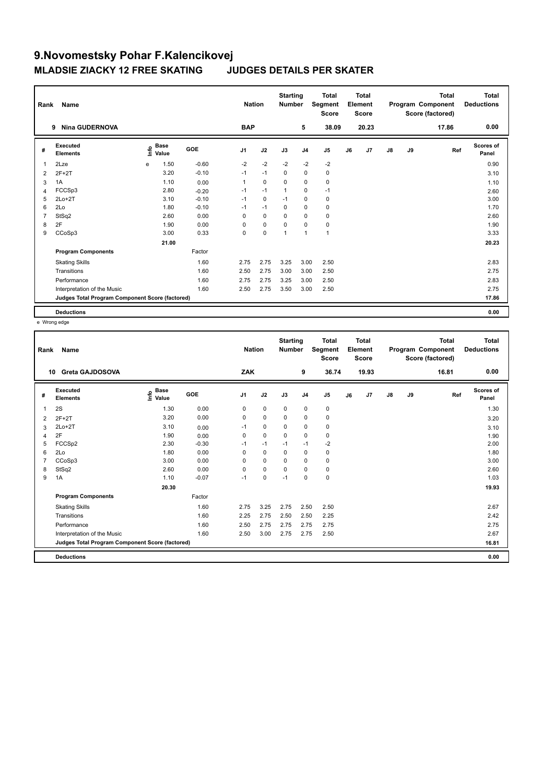|                | Name<br>Rank<br><b>Nina GUDERNOVA</b><br>9      |      |                      |            |                | <b>Nation</b> | <b>Starting</b><br><b>Number</b> |                | <b>Total</b><br>Segment<br><b>Score</b> |    | <b>Total</b><br>Element<br><b>Score</b> |               |    | <b>Total</b><br>Program Component<br>Score (factored) | <b>Total</b><br><b>Deductions</b> |
|----------------|-------------------------------------------------|------|----------------------|------------|----------------|---------------|----------------------------------|----------------|-----------------------------------------|----|-----------------------------------------|---------------|----|-------------------------------------------------------|-----------------------------------|
|                |                                                 |      |                      |            | <b>BAP</b>     |               |                                  | 5              | 38.09                                   |    | 20.23                                   |               |    | 17.86                                                 | 0.00                              |
| #              | Executed<br><b>Elements</b>                     | ١nfo | <b>Base</b><br>Value | <b>GOE</b> | J <sub>1</sub> | J2            | J3                               | J <sub>4</sub> | J <sub>5</sub>                          | J6 | J7                                      | $\mathsf{J}8$ | J9 | Ref                                                   | <b>Scores of</b><br>Panel         |
| 1              | 2Lze                                            | e    | 1.50                 | $-0.60$    | $-2$           | $-2$          | $-2$                             | $-2$           | $-2$                                    |    |                                         |               |    |                                                       | 0.90                              |
| 2              | $2F+2T$                                         |      | 3.20                 | $-0.10$    | $-1$           | $-1$          | $\mathbf 0$                      | $\mathbf 0$    | $\pmb{0}$                               |    |                                         |               |    |                                                       | 3.10                              |
| 3              | 1A                                              |      | 1.10                 | 0.00       | 1              | $\mathbf 0$   | 0                                | 0              | $\pmb{0}$                               |    |                                         |               |    |                                                       | 1.10                              |
| 4              | FCCSp3                                          |      | 2.80                 | $-0.20$    | $-1$           | $-1$          | $\overline{1}$                   | $\mathbf 0$    | $-1$                                    |    |                                         |               |    |                                                       | 2.60                              |
| 5              | $2Lo+2T$                                        |      | 3.10                 | $-0.10$    | $-1$           | $\mathbf 0$   | $-1$                             | $\mathbf 0$    | $\mathbf 0$                             |    |                                         |               |    |                                                       | 3.00                              |
| 6              | 2Lo                                             |      | 1.80                 | $-0.10$    | $-1$           | $-1$          | 0                                | $\pmb{0}$      | $\pmb{0}$                               |    |                                         |               |    |                                                       | 1.70                              |
| $\overline{7}$ | StSq2                                           |      | 2.60                 | 0.00       | 0              | $\mathbf 0$   | 0                                | $\mathbf 0$    | 0                                       |    |                                         |               |    |                                                       | 2.60                              |
| 8              | 2F                                              |      | 1.90                 | 0.00       | 0              | $\mathbf 0$   | 0                                | 0              | $\pmb{0}$                               |    |                                         |               |    |                                                       | 1.90                              |
| 9              | CCoSp3                                          |      | 3.00                 | 0.33       | 0              | $\mathbf 0$   | $\overline{1}$                   | $\overline{1}$ | $\mathbf{1}$                            |    |                                         |               |    |                                                       | 3.33                              |
|                |                                                 |      | 21.00                |            |                |               |                                  |                |                                         |    |                                         |               |    |                                                       | 20.23                             |
|                | <b>Program Components</b>                       |      |                      | Factor     |                |               |                                  |                |                                         |    |                                         |               |    |                                                       |                                   |
|                | <b>Skating Skills</b>                           |      |                      | 1.60       | 2.75           | 2.75          | 3.25                             | 3.00           | 2.50                                    |    |                                         |               |    |                                                       | 2.83                              |
|                | Transitions                                     |      |                      | 1.60       | 2.50           | 2.75          | 3.00                             | 3.00           | 2.50                                    |    |                                         |               |    |                                                       | 2.75                              |
|                | Performance                                     |      |                      | 1.60       | 2.75           | 2.75          | 3.25                             | 3.00           | 2.50                                    |    |                                         |               |    |                                                       | 2.83                              |
|                | Interpretation of the Music                     |      |                      | 1.60       | 2.50           | 2.75          | 3.50                             | 3.00           | 2.50                                    |    |                                         |               |    |                                                       | 2.75                              |
|                | Judges Total Program Component Score (factored) |      |                      |            |                |               |                                  |                |                                         |    |                                         |               |    |                                                       | 17.86                             |
|                | <b>Deductions</b>                               |      |                      |            |                |               |                                  |                |                                         |    |                                         |               |    |                                                       | 0.00                              |

e Wrong edge

| Rank | Name                                            |                                    |         | <b>Nation</b>  |             | <b>Starting</b><br><b>Number</b> |                | <b>Total</b><br>Segment<br><b>Score</b> |    | <b>Total</b><br>Element<br><b>Score</b> |               |    | <b>Total</b><br>Program Component<br>Score (factored) | <b>Total</b><br><b>Deductions</b> |
|------|-------------------------------------------------|------------------------------------|---------|----------------|-------------|----------------------------------|----------------|-----------------------------------------|----|-----------------------------------------|---------------|----|-------------------------------------------------------|-----------------------------------|
| 10   | <b>Greta GAJDOSOVA</b>                          |                                    |         | <b>ZAK</b>     |             |                                  | 9              | 36.74                                   |    | 19.93                                   |               |    | 16.81                                                 | 0.00                              |
| #    | Executed<br><b>Elements</b>                     | <b>Base</b><br>$\frac{6}{5}$ Value | GOE     | J <sub>1</sub> | J2          | J3                               | J <sub>4</sub> | J <sub>5</sub>                          | J6 | J7                                      | $\mathsf{J}8$ | J9 | Ref                                                   | Scores of<br>Panel                |
| 1    | 2S                                              | 1.30                               | 0.00    | 0              | 0           | 0                                | 0              | 0                                       |    |                                         |               |    |                                                       | 1.30                              |
| 2    | $2F+2T$                                         | 3.20                               | 0.00    | $\Omega$       | $\mathbf 0$ | $\Omega$                         | $\mathbf 0$    | $\mathbf 0$                             |    |                                         |               |    |                                                       | 3.20                              |
| 3    | $2Lo+2T$                                        | 3.10                               | 0.00    | $-1$           | $\mathbf 0$ | 0                                | $\mathbf 0$    | 0                                       |    |                                         |               |    |                                                       | 3.10                              |
| 4    | 2F                                              | 1.90                               | 0.00    | 0              | $\mathbf 0$ | 0                                | 0              | $\pmb{0}$                               |    |                                         |               |    |                                                       | 1.90                              |
| 5    | FCCSp2                                          | 2.30                               | $-0.30$ | $-1$           | $-1$        | $-1$                             | $-1$           | $-2$                                    |    |                                         |               |    |                                                       | 2.00                              |
| 6    | 2Lo                                             | 1.80                               | 0.00    | 0              | $\mathbf 0$ | 0                                | $\mathbf 0$    | $\pmb{0}$                               |    |                                         |               |    |                                                       | 1.80                              |
|      | CCoSp3                                          | 3.00                               | 0.00    | $\Omega$       | $\Omega$    | $\Omega$                         | $\Omega$       | 0                                       |    |                                         |               |    |                                                       | 3.00                              |
| 8    | StSq2                                           | 2.60                               | 0.00    | $\mathbf 0$    | $\mathbf 0$ | $\mathbf 0$                      | $\mathbf 0$    | $\pmb{0}$                               |    |                                         |               |    |                                                       | 2.60                              |
| 9    | 1A                                              | 1.10                               | $-0.07$ | $-1$           | $\mathbf 0$ | $-1$                             | 0              | 0                                       |    |                                         |               |    |                                                       | 1.03                              |
|      |                                                 | 20.30                              |         |                |             |                                  |                |                                         |    |                                         |               |    |                                                       | 19.93                             |
|      | <b>Program Components</b>                       |                                    | Factor  |                |             |                                  |                |                                         |    |                                         |               |    |                                                       |                                   |
|      | <b>Skating Skills</b>                           |                                    | 1.60    | 2.75           | 3.25        | 2.75                             | 2.50           | 2.50                                    |    |                                         |               |    |                                                       | 2.67                              |
|      | Transitions                                     |                                    | 1.60    | 2.25           | 2.75        | 2.50                             | 2.50           | 2.25                                    |    |                                         |               |    |                                                       | 2.42                              |
|      | Performance                                     |                                    | 1.60    | 2.50           | 2.75        | 2.75                             | 2.75           | 2.75                                    |    |                                         |               |    |                                                       | 2.75                              |
|      | Interpretation of the Music                     |                                    | 1.60    | 2.50           | 3.00        | 2.75                             | 2.75           | 2.50                                    |    |                                         |               |    |                                                       | 2.67                              |
|      | Judges Total Program Component Score (factored) |                                    |         |                |             |                                  |                |                                         |    |                                         |               |    |                                                       | 16.81                             |
|      | <b>Deductions</b>                               |                                    |         |                |             |                                  |                |                                         |    |                                         |               |    |                                                       | 0.00                              |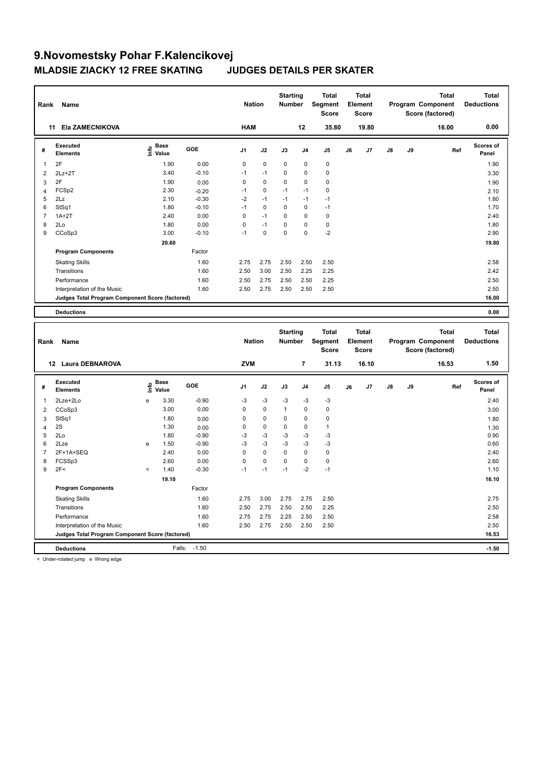| Rank           | Name                                            |                              |       |         | <b>Nation</b>  |             | <b>Starting</b><br>Number |                | <b>Total</b><br>Segment<br><b>Score</b> |    | <b>Total</b><br>Element<br><b>Score</b> |    |    | <b>Total</b><br>Program Component<br>Score (factored) | <b>Total</b><br><b>Deductions</b> |
|----------------|-------------------------------------------------|------------------------------|-------|---------|----------------|-------------|---------------------------|----------------|-----------------------------------------|----|-----------------------------------------|----|----|-------------------------------------------------------|-----------------------------------|
|                | 11 Ela ZAMECNIKOVA                              |                              |       |         | <b>HAM</b>     |             |                           | 12             | 35.80                                   |    | 19.80                                   |    |    | 16.00                                                 | 0.00                              |
| #              | <b>Executed</b><br><b>Elements</b>              | <b>Base</b><br>١nfo<br>Value |       | GOE     | J1             | J2          | J3                        | J <sub>4</sub> | J5                                      | J6 | J7                                      | J8 | J9 | Ref                                                   | <b>Scores of</b><br>Panel         |
| 1              | 2F                                              |                              | 1.90  | 0.00    | 0              | 0           | $\mathbf 0$               | $\mathbf 0$    | $\pmb{0}$                               |    |                                         |    |    |                                                       | 1.90                              |
| 2              | 2Lz+2T                                          |                              | 3.40  | $-0.10$ | $-1$           | $-1$        | 0                         | $\mathbf 0$    | $\mathbf 0$                             |    |                                         |    |    |                                                       | 3.30                              |
| 3              | 2F                                              |                              | 1.90  | 0.00    | 0              | 0           | 0                         | $\mathbf 0$    | $\mathbf 0$                             |    |                                         |    |    |                                                       | 1.90                              |
| 4              | FCSp2                                           |                              | 2.30  | $-0.20$ | $-1$           | $\mathbf 0$ | $-1$                      | $-1$           | $\mathbf 0$                             |    |                                         |    |    |                                                       | 2.10                              |
| 5              | 2Lz                                             |                              | 2.10  | $-0.30$ | $-2$           | $-1$        | $-1$                      | $-1$           | $-1$                                    |    |                                         |    |    |                                                       | 1.80                              |
| 6              | StSq1                                           |                              | 1.80  | $-0.10$ | $-1$           | 0           | 0                         | $\pmb{0}$      | $-1$                                    |    |                                         |    |    |                                                       | 1.70                              |
| $\overline{7}$ | $1A+2T$                                         |                              | 2.40  | 0.00    | 0              | $-1$        | 0                         | $\Omega$       | $\mathbf 0$                             |    |                                         |    |    |                                                       | 2.40                              |
| 8              | 2Lo                                             |                              | 1.80  | 0.00    | 0              | $-1$        | 0                         | $\mathbf 0$    | $\pmb{0}$                               |    |                                         |    |    |                                                       | 1.80                              |
| 9              | CCoSp3                                          |                              | 3.00  | $-0.10$ | $-1$           | $\mathbf 0$ | 0                         | $\mathbf 0$    | $-2$                                    |    |                                         |    |    |                                                       | 2.90                              |
|                |                                                 |                              | 20.60 |         |                |             |                           |                |                                         |    |                                         |    |    |                                                       | 19.80                             |
|                | <b>Program Components</b>                       |                              |       | Factor  |                |             |                           |                |                                         |    |                                         |    |    |                                                       |                                   |
|                | <b>Skating Skills</b>                           |                              |       | 1.60    | 2.75           | 2.75        | 2.50                      | 2.50           | 2.50                                    |    |                                         |    |    |                                                       | 2.58                              |
|                | Transitions                                     |                              |       | 1.60    | 2.50           | 3.00        | 2.50                      | 2.25           | 2.25                                    |    |                                         |    |    |                                                       | 2.42                              |
|                | Performance                                     |                              |       | 1.60    | 2.50           | 2.75        | 2.50                      | 2.50           | 2.25                                    |    |                                         |    |    |                                                       | 2.50                              |
|                | Interpretation of the Music                     |                              |       | 1.60    | 2.50           | 2.75        | 2.50                      | 2.50           | 2.50                                    |    |                                         |    |    |                                                       | 2.50                              |
|                | Judges Total Program Component Score (factored) |                              |       |         |                |             |                           |                |                                         |    |                                         |    |    |                                                       | 16.00                             |
|                | <b>Deductions</b>                               |                              |       |         |                |             |                           |                |                                         |    |                                         |    |    |                                                       | 0.00                              |
|                |                                                 |                              |       |         |                |             |                           |                |                                         |    |                                         |    |    |                                                       |                                   |
|                |                                                 |                              |       |         |                |             | <b>Starting</b>           |                | <b>Total</b>                            |    | <b>Total</b>                            |    |    | <b>Total</b>                                          | <b>Total</b>                      |
| Rank           | Name                                            |                              |       |         | <b>Nation</b>  |             | <b>Number</b>             |                | Segment<br><b>Score</b>                 |    | Element<br><b>Score</b>                 |    |    | Program Component<br>Score (factored)                 | <b>Deductions</b>                 |
|                | 12 Laura DEBNAROVA                              |                              |       |         | <b>ZVM</b>     |             |                           | 7              | 31.13                                   |    | 16.10                                   |    |    | 16.53                                                 | 1.50                              |
| #              | <b>Executed</b><br><b>Elements</b>              | <b>Base</b><br>١m<br>Value   |       | GOE     | J <sub>1</sub> | J2          | J3                        | J <sub>4</sub> | J5                                      | J6 | J7                                      | J8 | J9 | Ref                                                   | Scores of<br>Panel                |
| 1              | 2Lze+2Lo                                        | e                            | 3.30  | $-0.90$ | $-3$           | $-3$        | $-3$                      | $-3$           | $-3$                                    |    |                                         |    |    |                                                       | 2.40                              |
| $\overline{2}$ | CCoSp3                                          |                              | 3.00  | 0.00    | 0              | 0           | $\mathbf{1}$              | $\mathbf 0$    | $\pmb{0}$                               |    |                                         |    |    |                                                       | 3.00                              |
| 3              | StSq1                                           |                              | 1.80  | 0.00    | 0              | 0           | 0                         | $\mathbf 0$    | $\mathbf 0$                             |    |                                         |    |    |                                                       | 1.80                              |
| $\overline{4}$ | 2S                                              |                              | 1.30  | 0.00    | 0              | 0           | 0                         | $\mathbf 0$    | $\mathbf{1}$                            |    |                                         |    |    |                                                       | 1.30                              |
| 5              | 2Lo                                             |                              | 1.80  | $-0.90$ | $-3$           | $-3$        | $-3$                      | $-3$           | $-3$                                    |    |                                         |    |    |                                                       | 0.90                              |
| 6              | 2Lze                                            | e                            | 1.50  | $-0.90$ | $-3$           | $-3$        | $-3$                      | $-3$           | $-3$                                    |    |                                         |    |    |                                                       | 0.60                              |
| $\overline{7}$ | 2F+1A+SEQ                                       |                              | 2.40  | 0.00    | 0              | 0           | 0                         | 0              | $\pmb{0}$                               |    |                                         |    |    |                                                       | 2.40                              |
| 8              | FCSSp3                                          |                              | 2.60  | 0.00    | $\Omega$       | $\Omega$    | $\Omega$                  | $\Omega$       | $\mathbf 0$                             |    |                                         |    |    |                                                       | 2.60                              |
| 9              | 2F<                                             | $\,<\,$                      | 1.40  | $-0.30$ | $-1$           | $-1$        | $-1$                      | $-2$           | $-1$                                    |    |                                         |    |    |                                                       | 1.10                              |

 **19.10 16.10 16.10** 

**Program Components**  Skating Skills 2.75 3.00 2.75 2.75 2.50 1.60 2.75 Factor Transitions 1.60 2.50 2.75 2.50 2.50 2.25 2.50 Performance 2.58 2.75 2.75 2.75 2.25 2.50 2.50 2.50 Interpretation of the Music 2.50 2.60 2.60 2.75 2.50 2.50 2.50 2.50 2.50 2.50 2.50 **Judges Total Program Component Score (factored) 16.53**

**Deductions** Falls: -1.50 **-1.50**

< Under-rotated jump e Wrong edge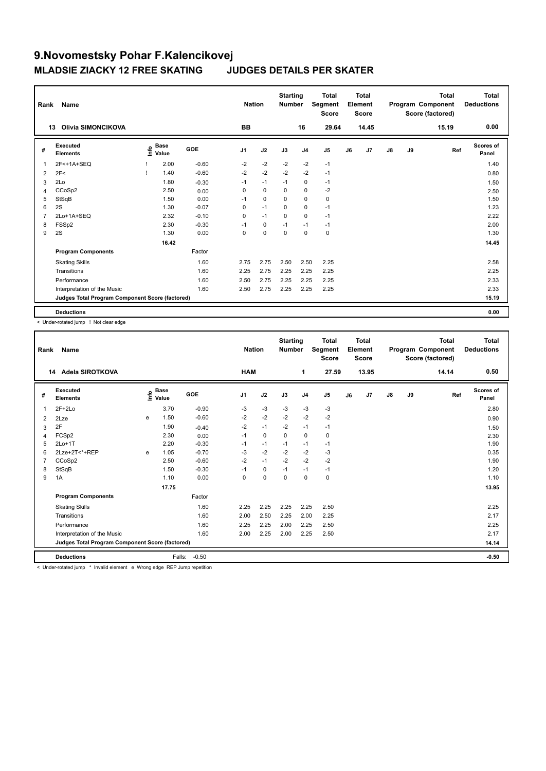| Rank           | Name<br>Olivia SIMONCIKOVA<br>13                |      |                      |         |                | <b>Nation</b> | <b>Starting</b><br><b>Number</b> |                | <b>Total</b><br>Segment<br><b>Score</b> |    | <b>Total</b><br>Element<br><b>Score</b> |               |    | <b>Total</b><br>Program Component<br>Score (factored) | Total<br><b>Deductions</b> |
|----------------|-------------------------------------------------|------|----------------------|---------|----------------|---------------|----------------------------------|----------------|-----------------------------------------|----|-----------------------------------------|---------------|----|-------------------------------------------------------|----------------------------|
|                |                                                 |      |                      |         | BB             |               |                                  | 16             | 29.64                                   |    | 14.45                                   |               |    | 15.19                                                 | 0.00                       |
| #              | Executed<br><b>Elements</b>                     | info | <b>Base</b><br>Value | GOE     | J <sub>1</sub> | J2            | J3                               | J <sub>4</sub> | J <sub>5</sub>                          | J6 | J7                                      | $\mathsf{J}8$ | J9 | Ref                                                   | <b>Scores of</b><br>Panel  |
| $\overline{1}$ | 2F<+1A+SEQ                                      |      | 2.00                 | $-0.60$ | $-2$           | $-2$          | $-2$                             | $-2$           | $-1$                                    |    |                                         |               |    |                                                       | 1.40                       |
| 2              | 2F<                                             |      | 1.40                 | $-0.60$ | $-2$           | $-2$          | $-2$                             | $-2$           | $-1$                                    |    |                                         |               |    |                                                       | 0.80                       |
| 3              | 2Lo                                             |      | 1.80                 | $-0.30$ | $-1$           | $-1$          | $-1$                             | $\mathbf 0$    | $-1$                                    |    |                                         |               |    |                                                       | 1.50                       |
| 4              | CCoSp2                                          |      | 2.50                 | 0.00    | $\Omega$       | $\Omega$      | $\Omega$                         | $\mathbf 0$    | $-2$                                    |    |                                         |               |    |                                                       | 2.50                       |
| 5              | StSqB                                           |      | 1.50                 | 0.00    | $-1$           | $\mathbf 0$   | $\mathbf 0$                      | $\mathbf 0$    | $\pmb{0}$                               |    |                                         |               |    |                                                       | 1.50                       |
| 6              | 2S                                              |      | 1.30                 | $-0.07$ | 0              | $-1$          | 0                                | 0              | $-1$                                    |    |                                         |               |    |                                                       | 1.23                       |
| $\overline{7}$ | 2Lo+1A+SEQ                                      |      | 2.32                 | $-0.10$ | 0              | $-1$          | $\Omega$                         | $\mathbf 0$    | $-1$                                    |    |                                         |               |    |                                                       | 2.22                       |
| 8              | FSSp2                                           |      | 2.30                 | $-0.30$ | $-1$           | $\mathbf 0$   | $-1$                             | $-1$           | $-1$                                    |    |                                         |               |    |                                                       | 2.00                       |
| 9              | 2S                                              |      | 1.30                 | 0.00    | $\mathbf 0$    | $\mathbf 0$   | $\mathbf 0$                      | $\mathbf 0$    | $\pmb{0}$                               |    |                                         |               |    |                                                       | 1.30                       |
|                |                                                 |      | 16.42                |         |                |               |                                  |                |                                         |    |                                         |               |    |                                                       | 14.45                      |
|                | <b>Program Components</b>                       |      |                      | Factor  |                |               |                                  |                |                                         |    |                                         |               |    |                                                       |                            |
|                | <b>Skating Skills</b>                           |      |                      | 1.60    | 2.75           | 2.75          | 2.50                             | 2.50           | 2.25                                    |    |                                         |               |    |                                                       | 2.58                       |
|                | Transitions                                     |      |                      | 1.60    | 2.25           | 2.75          | 2.25                             | 2.25           | 2.25                                    |    |                                         |               |    |                                                       | 2.25                       |
|                | Performance                                     |      |                      | 1.60    | 2.50           | 2.75          | 2.25                             | 2.25           | 2.25                                    |    |                                         |               |    |                                                       | 2.33                       |
|                | Interpretation of the Music                     |      |                      | 1.60    | 2.50           | 2.75          | 2.25                             | 2.25           | 2.25                                    |    |                                         |               |    |                                                       | 2.33                       |
|                | Judges Total Program Component Score (factored) |      |                      |         |                |               |                                  |                |                                         |    |                                         |               |    |                                                       | 15.19                      |
|                | <b>Deductions</b>                               |      |                      |         |                |               |                                  |                |                                         |    |                                         |               |    |                                                       | 0.00                       |

< Under-rotated jump ! Not clear edge

| Rank | Name                                            | <b>Nation</b> |                                    | <b>Starting</b><br><b>Number</b> |                | <b>Total</b><br>Segment<br><b>Score</b> |             | <b>Total</b><br>Element<br><b>Score</b> |                |    | <b>Total</b><br>Program Component<br>Score (factored) | <b>Total</b><br><b>Deductions</b> |    |       |                           |
|------|-------------------------------------------------|---------------|------------------------------------|----------------------------------|----------------|-----------------------------------------|-------------|-----------------------------------------|----------------|----|-------------------------------------------------------|-----------------------------------|----|-------|---------------------------|
|      | Adela SIROTKOVA<br>14                           |               |                                    |                                  | <b>HAM</b>     |                                         |             | 1                                       | 27.59          |    | 13.95                                                 |                                   |    | 14.14 | 0.50                      |
| #    | Executed<br><b>Elements</b>                     |               | <b>Base</b><br>$\frac{6}{5}$ Value | GOE                              | J <sub>1</sub> | J2                                      | J3          | J <sub>4</sub>                          | J <sub>5</sub> | J6 | J <sub>7</sub>                                        | $\mathsf{J}8$                     | J9 | Ref   | <b>Scores of</b><br>Panel |
| 1    | $2F+2Lo$                                        |               | 3.70                               | $-0.90$                          | -3             | $-3$                                    | -3          | $-3$                                    | -3             |    |                                                       |                                   |    |       | 2.80                      |
| 2    | 2Lze                                            | e             | 1.50                               | $-0.60$                          | $-2$           | $-2$                                    | $-2$        | $-2$                                    | $-2$           |    |                                                       |                                   |    |       | 0.90                      |
| 3    | 2F                                              |               | 1.90                               | $-0.40$                          | $-2$           | $-1$                                    | $-2$        | $-1$                                    | $-1$           |    |                                                       |                                   |    |       | 1.50                      |
| 4    | FCSp2                                           |               | 2.30                               | 0.00                             | $-1$           | $\mathbf 0$                             | $\Omega$    | $\mathbf 0$                             | $\mathbf 0$    |    |                                                       |                                   |    |       | 2.30                      |
| 5    | $2Lo+1T$                                        |               | 2.20                               | $-0.30$                          | $-1$           | $-1$                                    | $-1$        | $-1$                                    | $-1$           |    |                                                       |                                   |    |       | 1.90                      |
| 6    | 2Lze+2T<*+REP                                   | e             | 1.05                               | $-0.70$                          | $-3$           | $-2$                                    | $-2$        | $-2$                                    | $-3$           |    |                                                       |                                   |    |       | 0.35                      |
|      | CCoSp2                                          |               | 2.50                               | $-0.60$                          | $-2$           | $-1$                                    | $-2$        | $-2$                                    | $-2$           |    |                                                       |                                   |    |       | 1.90                      |
| 8    | StSqB                                           |               | 1.50                               | $-0.30$                          | $-1$           | $\mathbf 0$                             | $-1$        | $-1$                                    | $-1$           |    |                                                       |                                   |    |       | 1.20                      |
| 9    | 1A                                              |               | 1.10                               | 0.00                             | $\Omega$       | $\mathbf 0$                             | $\mathbf 0$ | $\mathbf 0$                             | $\mathbf 0$    |    |                                                       |                                   |    |       | 1.10                      |
|      |                                                 |               | 17.75                              |                                  |                |                                         |             |                                         |                |    |                                                       |                                   |    |       | 13.95                     |
|      | <b>Program Components</b>                       |               |                                    | Factor                           |                |                                         |             |                                         |                |    |                                                       |                                   |    |       |                           |
|      | <b>Skating Skills</b>                           |               |                                    | 1.60                             | 2.25           | 2.25                                    | 2.25        | 2.25                                    | 2.50           |    |                                                       |                                   |    |       | 2.25                      |
|      | Transitions                                     |               |                                    | 1.60                             | 2.00           | 2.50                                    | 2.25        | 2.00                                    | 2.25           |    |                                                       |                                   |    |       | 2.17                      |
|      | Performance                                     |               |                                    | 1.60                             | 2.25           | 2.25                                    | 2.00        | 2.25                                    | 2.50           |    |                                                       |                                   |    |       | 2.25                      |
|      | Interpretation of the Music                     |               |                                    | 1.60                             | 2.00           | 2.25                                    | 2.00        | 2.25                                    | 2.50           |    |                                                       |                                   |    |       | 2.17                      |
|      | Judges Total Program Component Score (factored) |               |                                    |                                  |                |                                         |             |                                         |                |    |                                                       |                                   |    |       | 14.14                     |
|      | <b>Deductions</b>                               |               | Falls:                             | $-0.50$                          |                |                                         |             |                                         |                |    |                                                       |                                   |    |       | $-0.50$                   |

< Under-rotated jump \* Invalid element e Wrong edge REP Jump repetition